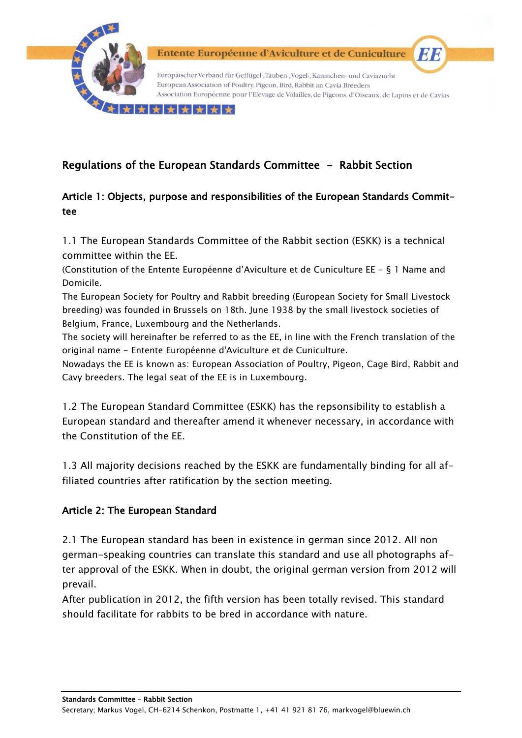

Entente Européenne d'Aviculture et de Cuniculture

Europäischer Verband für Geflügel-, Tauben-, Vogel-, Kaninchen- und Caviazucht European Association of Poultry, Pigeon, Bird, Rabbit an Cavia Breeders Association Européenne pour l'Elevage de Volailles, de Pigeons, d'Oiseaux, de Lapins et de Cavias

**EI E** 

★★★★★★

# Regulations of the European Standards Committee - Rabbit Section

# Article 1: Objects, purpose and responsibilities of the European Standards Committee

1.1 The European Standards Committee of the Rabbit section (ESKK) is a technical committee within the EE.

(Constitution of the Entente Européenne d'Aviculture et de Cuniculture EE - § 1 Name and Domicile.

The European Society for Poultry and Rabbit breeding (European Society for Small Livestock breeding) was founded in Brussels on 18th. June 1938 by the small livestock societies of Belgium, France, Luxembourg and the Netherlands.

The society will hereinafter be referred to as the EE, in line with the French translation of the original name - Entente Européenne d'Aviculture et de Cuniculture.

Nowadays the EE is known as: European Association of Poultry, Pigeon, Cage Bird, Rabbit and Cavy breeders. The legal seat of the EE is in Luxembourg.

1.2 The European Standard Committee (ESKK) has the repsonsibility to establish a European standard and thereafter amend it whenever necessary, in accordance with the Constitution of the EE.

1.3 All majority decisions reached by the ESKK are fundamentally binding for all affiliated countries after ratification by the section meeting.

### Article 2: The European Standard

2.1 The European standard has been in existence in german since 2012. All non german-speaking countries can translate this standard and use all photographs after approval of the ESKK. When in doubt, the original german version from 2012 will prevail.

After publication in 2012, the fifth version has been totally revised. This standard should facilitate for rabbits to be bred in accordance with nature.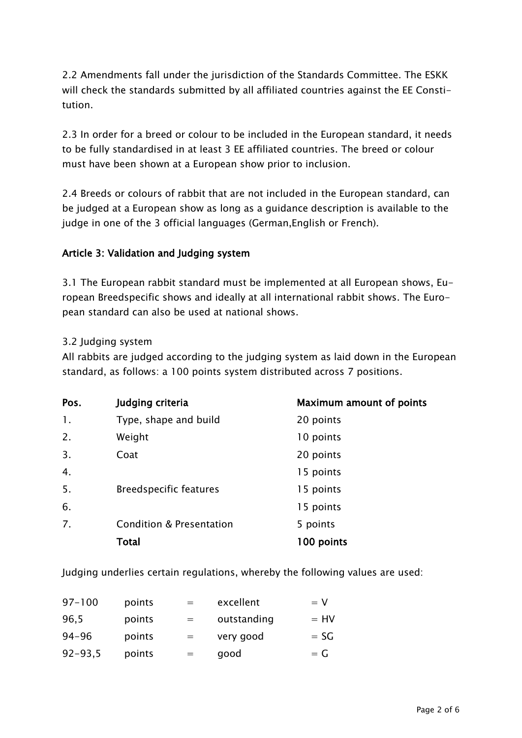2.2 Amendments fall under the jurisdiction of the Standards Committee. The ESKK will check the standards submitted by all affiliated countries against the EE Constitution.

2.3 In order for a breed or colour to be included in the European standard, it needs to be fully standardised in at least 3 EE affiliated countries. The breed or colour must have been shown at a European show prior to inclusion.

2.4 Breeds or colours of rabbit that are not included in the European standard, can be judged at a European show as long as a guidance description is available to the judge in one of the 3 official languages (German,English or French).

### Article 3: Validation and Judging system

3.1 The European rabbit standard must be implemented at all European shows, European Breedspecific shows and ideally at all international rabbit shows. The European standard can also be used at national shows.

#### 3.2 Judging system

All rabbits are judged according to the judging system as laid down in the European standard, as follows: a 100 points system distributed across 7 positions.

| Pos. | Judging criteria                    | Maximum amount of points |
|------|-------------------------------------|--------------------------|
| 1.   | Type, shape and build               | 20 points                |
| 2.   | Weight                              | 10 points                |
| 3.   | Coat                                | 20 points                |
| 4.   |                                     | 15 points                |
| 5.   | <b>Breedspecific features</b>       | 15 points                |
| 6.   |                                     | 15 points                |
| 7.   | <b>Condition &amp; Presentation</b> | 5 points                 |
|      | Total                               | 100 points               |

Judging underlies certain regulations, whereby the following values are used:

| $97 - 100$  | points | $=$ | excellent   | $= V$  |
|-------------|--------|-----|-------------|--------|
| 96,5        | points | $=$ | outstanding | $=$ HV |
| $94 - 96$   | points | $=$ | very good   | $=$ SG |
| $92 - 93,5$ | points |     | good        | $= G$  |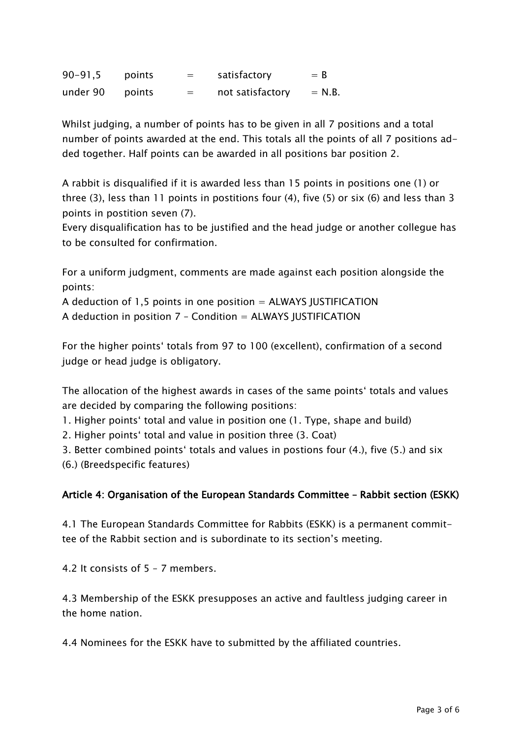$90-91,5$  points = satisfactory = B under 90 points  $=$  not satisfactory  $=$  N.B.

Whilst judging, a number of points has to be given in all 7 positions and a total number of points awarded at the end. This totals all the points of all 7 positions added together. Half points can be awarded in all positions bar position 2.

A rabbit is disqualified if it is awarded less than 15 points in positions one (1) or three (3), less than 11 points in postitions four (4), five (5) or six (6) and less than 3 points in postition seven (7).

Every disqualification has to be justified and the head judge or another collegue has to be consulted for confirmation.

For a uniform judgment, comments are made against each position alongside the points:

A deduction of 1,5 points in one position  $=$  ALWAYS JUSTIFICATION A deduction in position  $7$  – Condition  $=$  ALWAYS JUSTIFICATION

For the higher points' totals from 97 to 100 (excellent), confirmation of a second judge or head judge is obligatory.

The allocation of the highest awards in cases of the same points' totals and values are decided by comparing the following positions:

1. Higher points' total and value in position one (1. Type, shape and build)

2. Higher points' total and value in position three (3. Coat)

3. Better combined points' totals and values in postions four (4.), five (5.) and six (6.) (Breedspecific features)

### Article 4: Organisation of the European Standards Committee – Rabbit section (ESKK)

4.1 The European Standards Committee for Rabbits (ESKK) is a permanent committee of the Rabbit section and is subordinate to its section's meeting.

4.2 It consists of 5 – 7 members.

4.3 Membership of the ESKK presupposes an active and faultless judging career in the home nation.

4.4 Nominees for the ESKK have to submitted by the affiliated countries.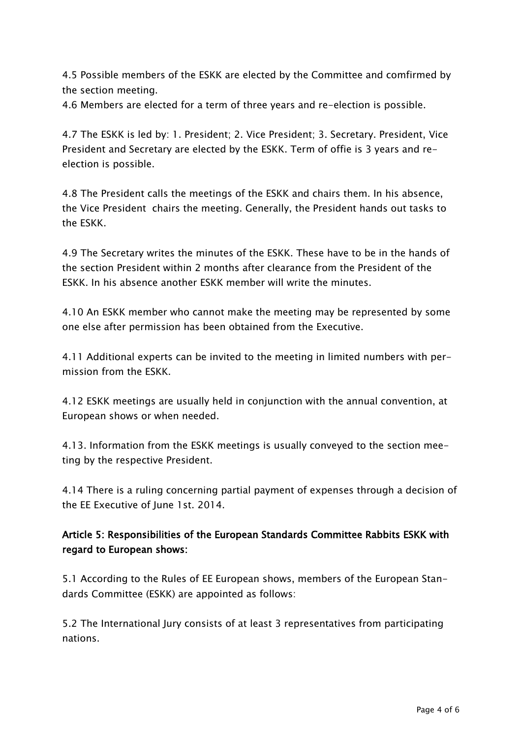4.5 Possible members of the ESKK are elected by the Committee and comfirmed by the section meeting.

4.6 Members are elected for a term of three years and re-election is possible.

4.7 The ESKK is led by: 1. President; 2. Vice President; 3. Secretary. President, Vice President and Secretary are elected by the ESKK. Term of offie is 3 years and reelection is possible.

4.8 The President calls the meetings of the ESKK and chairs them. In his absence, the Vice President chairs the meeting. Generally, the President hands out tasks to the ESKK.

4.9 The Secretary writes the minutes of the ESKK. These have to be in the hands of the section President within 2 months after clearance from the President of the ESKK. In his absence another ESKK member will write the minutes.

4.10 An ESKK member who cannot make the meeting may be represented by some one else after permission has been obtained from the Executive.

4.11 Additional experts can be invited to the meeting in limited numbers with permission from the ESKK.

4.12 ESKK meetings are usually held in conjunction with the annual convention, at European shows or when needed.

4.13. Information from the ESKK meetings is usually conveyed to the section meeting by the respective President.

4.14 There is a ruling concerning partial payment of expenses through a decision of the EE Executive of June 1st. 2014.

# Article 5: Responsibilities of the European Standards Committee Rabbits ESKK with regard to European shows:

5.1 According to the Rules of EE European shows, members of the European Standards Committee (ESKK) are appointed as follows:

5.2 The International Jury consists of at least 3 representatives from participating nations.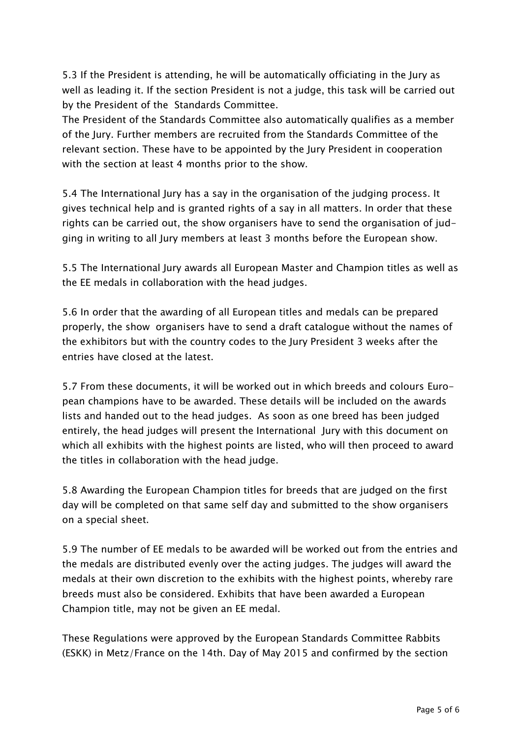5.3 If the President is attending, he will be automatically officiating in the Jury as well as leading it. If the section President is not a judge, this task will be carried out by the President of the Standards Committee.

The President of the Standards Committee also automatically qualifies as a member of the Jury. Further members are recruited from the Standards Committee of the relevant section. These have to be appointed by the Jury President in cooperation with the section at least 4 months prior to the show.

5.4 The International Jury has a say in the organisation of the judging process. It gives technical help and is granted rights of a say in all matters. In order that these rights can be carried out, the show organisers have to send the organisation of judging in writing to all Jury members at least 3 months before the European show.

5.5 The International Jury awards all European Master and Champion titles as well as the EE medals in collaboration with the head judges.

5.6 In order that the awarding of all European titles and medals can be prepared properly, the show organisers have to send a draft catalogue without the names of the exhibitors but with the country codes to the Jury President 3 weeks after the entries have closed at the latest.

5.7 From these documents, it will be worked out in which breeds and colours European champions have to be awarded. These details will be included on the awards lists and handed out to the head judges. As soon as one breed has been judged entirely, the head judges will present the International Jury with this document on which all exhibits with the highest points are listed, who will then proceed to award the titles in collaboration with the head judge.

5.8 Awarding the European Champion titles for breeds that are judged on the first day will be completed on that same self day and submitted to the show organisers on a special sheet.

5.9 The number of EE medals to be awarded will be worked out from the entries and the medals are distributed evenly over the acting judges. The judges will award the medals at their own discretion to the exhibits with the highest points, whereby rare breeds must also be considered. Exhibits that have been awarded a European Champion title, may not be given an EE medal.

These Regulations were approved by the European Standards Committee Rabbits (ESKK) in Metz/France on the 14th. Day of May 2015 and confirmed by the section